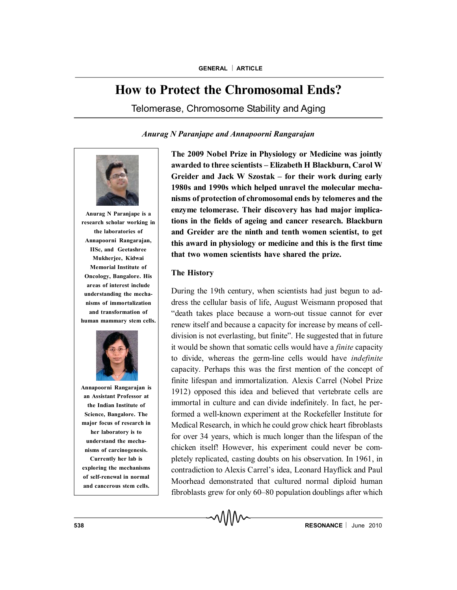# **How to Protect the Chromosomal Ends?**

Telomerase, Chromosome Stability and Aging

## *Anurag N Paranjape and Annapoorni Rangarajan*



**Anurag N Paranjape is a research scholar working in the laboratories of Annapoorni Rangarajan, IISc, and Geetashree Mukherjee, Kidwai Memorial Institute of Oncology, Bangalore. His areas of interest include understanding the mechanisms of immortalization and transformation of human mammary stem cells.**



**Annapoorni Rangarajan is an Assistant Professor at the Indian Institute of Science, Bangalore. The major focus of research in her laboratory is to understand the mechanisms of carcinogenesis. Currently her lab is exploring the mechanisms of self-renewal in normal**

**and cancerous stem cells.**

**The 2009 Nobel Prize in Physiology or Medicine was jointly awarded to three scientists – Elizabeth H Blackburn, Carol W Greider and Jack W Szostak – for their work during early 1980s and 1990s which helped unravel the molecular mechanisms of protection of chromosomal ends by telomeres and the enzyme telomerase. Their discovery has had major implications in the fields of ageing and cancer research. Blackburn and Greider are the ninth and tenth women scientist, to get this award in physiology or medicine and this is the first time that two women scientists have shared the prize.**

## **The History**

During the 19th century, when scientists had just begun to address the cellular basis of life, August Weismann proposed that "death takes place because a worn-out tissue cannot for ever renew itself and because a capacity for increase by means of celldivision is not everlasting, but finite". He suggested that in future it would be shown that somatic cells would have a *finite* capacity to divide, whereas the germ-line cells would have *indefinite* capacity. Perhaps this was the first mention of the concept of finite lifespan and immortalization. Alexis Carrel (Nobel Prize 1912) opposed this idea and believed that vertebrate cells are immortal in culture and can divide indefinitely. In fact, he performed a well-known experiment at the Rockefeller Institute for Medical Research, in which he could grow chick heart fibroblasts for over 34 years, which is much longer than the lifespan of the chicken itself! However, his experiment could never be completely replicated, casting doubts on his observation. In 1961, in contradiction to Alexis Carrel's idea, Leonard Hayflick and Paul Moorhead demonstrated that cultured normal diploid human fibroblasts grew for only 60–80 population doublings after which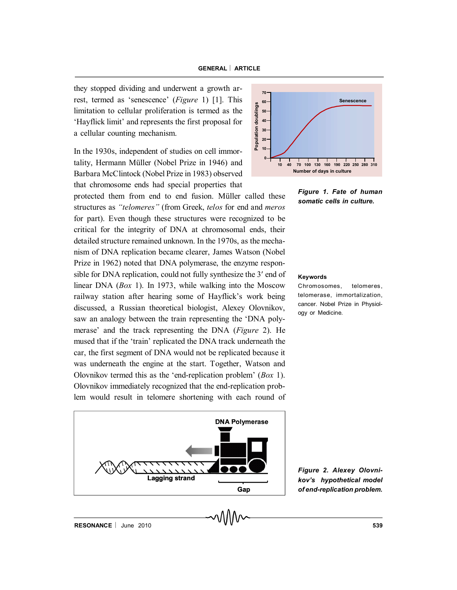they stopped dividing and underwent a growth arrest, termed as 'senescence' (*Figure* 1) [1]. This limitation to cellular proliferation is termed as the<br>
'Hayflick limit' and represents the first proposal for<br>
a cellular counting mechanism. 'Hayflick limit' and represents the first proposal for a cellular counting mechanism.

In the 1930s, independent of studies on cell immortality, Hermann Müller (Nobel Prize in 1946) and Barbara McClintock (Nobel Prize in 1983) observed that chromosome ends had special properties that

protected them from end to end fusion. Müller called these structures as *"telomeres"* (from Greek, *telos* for end and *meros* for part). Even though these structures were recognized to be critical for the integrity of DNA at chromosomal ends, their detailed structure remained unknown. In the 1970s, as the mechanism of DNA replication became clearer, James Watson (Nobel Prize in 1962) noted that DNA polymerase, the enzyme responsible for DNA replication, could not fully synthesize the 3' end of linear DNA (*Box* 1). In 1973, while walking into the Moscow railway station after hearing some of Hayflick's work being discussed, a Russian theoretical biologist, Alexey Olovnikov, saw an analogy between the train representing the 'DNA polymerase' and the track representing the DNA (*Figure* 2). He mused that if the 'train' replicated the DNA track underneath the car, the first segment of DNA would not be replicated because it was underneath the engine at the start. Together, Watson and Olovnikov termed this as the 'end-replication problem' (*Box* 1). Olovnikov immediately recognized that the end-replication problem would result in telomere shortening with each round of





*Figure 1. Fate of human somatic cells in culture.*

#### **Keywords**

Chromosomes, telomeres, telomerase, immortalization, cancer. Nobel Prize in Physiology or Medicine.

*Figure 2. Alexey Olovnikov's hypothetical model of end-replication problem.*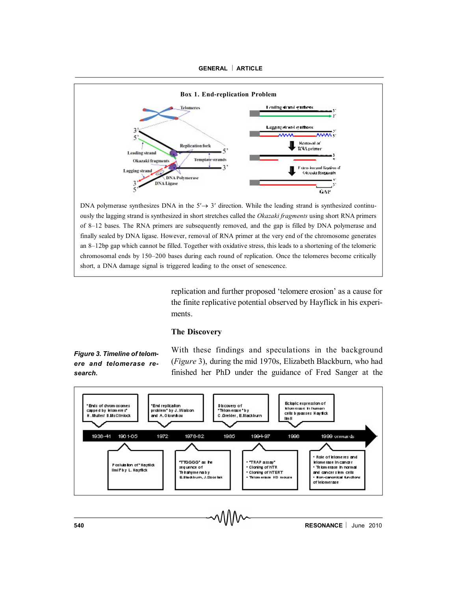



DNA polymerase synthesizes DNA in the  $5' \rightarrow 3'$  direction. While the leading strand is synthesized continuously the lagging strand is synthesized in short stretches called the *Okazaki fragments* using short RNA primers of 8–12 bases. The RNA primers are subsequently removed, and the gap is filled by DNA polymerase and finally sealed by DNA ligase. However, removal of RNA primer at the very end of the chromosome generates an 8–12bp gap which cannot be filled. Together with oxidative stress, this leads to a shortening of the telomeric chromosomal ends by 150–200 bases during each round of replication. Once the telomeres become critically short, a DNA damage signal is triggered leading to the onset of senescence.

> replication and further proposed 'telomere erosion' as a cause for the finite replicative potential observed by Hayflick in his experiments.

# **The Discovery**

*Figure 3. Timeline of telomere and telomerase research.*

With these findings and speculations in the background (*Figure* 3), during the mid 1970s, Elizabeth Blackburn, who had finished her PhD under the guidance of Fred Sanger at the

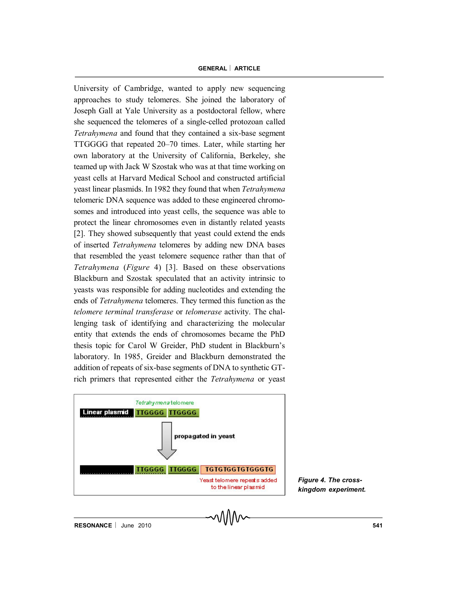University of Cambridge, wanted to apply new sequencing approaches to study telomeres. She joined the laboratory of Joseph Gall at Yale University as a postdoctoral fellow, where she sequenced the telomeres of a single-celled protozoan called *Tetrahymena* and found that they contained a six-base segment TTGGGG that repeated 20–70 times. Later, while starting her own laboratory at the University of California, Berkeley, she teamed up with Jack W Szostak who was at that time working on yeast cells at Harvard Medical School and constructed artificial yeast linear plasmids. In 1982 they found that when *Tetrahymena* telomeric DNA sequence was added to these engineered chromosomes and introduced into yeast cells, the sequence was able to protect the linear chromosomes even in distantly related yeasts [2]. They showed subsequently that yeast could extend the ends of inserted *Tetrahymena* telomeres by adding new DNA bases that resembled the yeast telomere sequence rather than that of *Tetrahymena* (*Figure* 4) [3]. Based on these observations Blackburn and Szostak speculated that an activity intrinsic to yeasts was responsible for adding nucleotides and extending the ends of *Tetrahymena* telomeres. They termed this function as the *telomere terminal transferase* or *telomerase* activity. The challenging task of identifying and characterizing the molecular entity that extends the ends of chromosomes became the PhD thesis topic for Carol W Greider, PhD student in Blackburn's laboratory. In 1985, Greider and Blackburn demonstrated the addition of repeats of six-base segments of DNA to synthetic GTrich primers that represented either the *Tetrahymena* or yeast



*Figure 4. The crosskingdom experiment.*

**RESONANCE** June 2010 **541**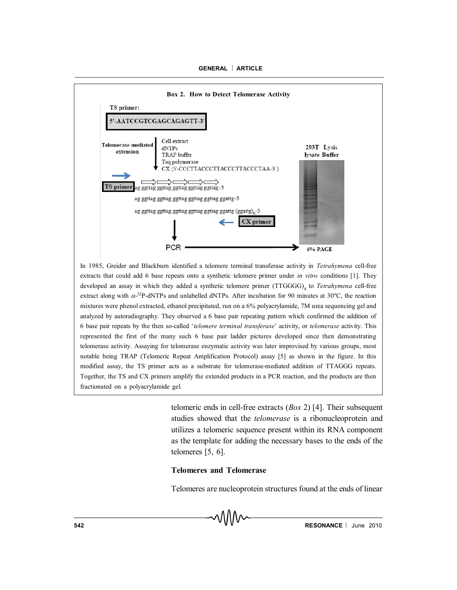

In 1985, Greider and Blackburn identified a telomere terminal transferase activity in *Tetrahymena* cell-free extracts that could add 6 base repeats onto a synthetic telomere primer under *in vitro* conditions [1]. They developed an assay in which they added a synthetic telomere primer (TTGGGG)<sub>4</sub> to *Tetrahymena* cell-free extract along with  $\alpha$ -<sup>32</sup>P-dNTPs and unlabelled dNTPs. After incubation for 90 minutes at 30°C, the reaction mixtures were phenol extracted, ethanol precipitated, run on a 6% polyacrylamide, 7M urea sequencing gel and analyzed by autoradiography. They observed a 6 base pair repeating pattern which confirmed the addition of 6 base pair repeats by the then so-called '*telomere terminal transferase*' activity, or *telomerase* activity. This represented the first of the many such 6 base pair ladder pictures developed since then demonstrating telomerase activity. Assaying for telomerase enzymatic activity was later improvised by various groups, most notable being TRAP (Telomeric Repeat Amplification Protocol) assay [5] as shown in the figure. In this modified assay, the TS primer acts as a substrate for telomerase-mediated addition of TTAGGG repeats. Together, the TS and CX primers amplify the extended products in a PCR reaction, and the products are then fractionated on a polyacrylamide gel.

> telomeric ends in cell-free extracts (*Box* 2) [4]. Their subsequent studies showed that the *telomerase* is a ribonucleoprotein and utilizes a telomeric sequence present within its RNA component as the template for adding the necessary bases to the ends of the telomeres [5, 6].

#### **Telomeres and Telomerase**

Telomeres are nucleoprotein structures found at the ends of linear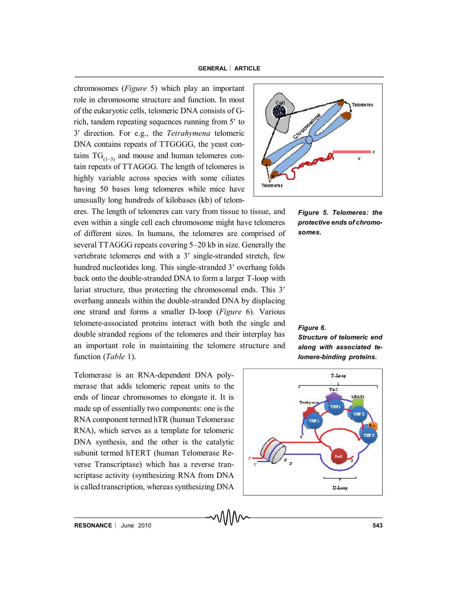chromosomes (*Figure* 5) which play an important role in chromosome structure and function. In most of the eukaryotic cells, telomeric DNA consists of Grich, tandem repeating sequences running from 5' to 3 direction. For e.g., the *Tetrahymena* telomeric DNA contains repeats of TTGGGG, the yeast contains  $TG_{(1-3)}$  and mouse and human telomeres contain repeats of TTAGGG. The length of telomeres is highly variable across species with some ciliates having 50 bases long telomeres while mice have unusually long hundreds of kilobases (kb) of telom-

eres. The length of telomeres can vary from tissue to tissue, and even within a single cell each chromosome might have telomeres of different sizes. In humans, the telomeres are comprised of several TTAGGG repeats covering 5–20 kb in size. Generally the vertebrate telomeres end with a 3' single-stranded stretch, few hundred nucleotides long. This single-stranded 3' overhang folds back onto the double-stranded DNA to form a larger T-loop with lariat structure, thus protecting the chromosomal ends. This 3' overhang anneals within the double-stranded DNA by displacing one strand and forms a smaller D-loop (*Figure* 6). Various telomere-associated proteins interact with both the single and double stranded regions of the telomeres and their interplay has an important role in maintaining the telomere structure and function (*Table* 1).

Telomerase is an RNA-dependent DNA polymerase that adds telomeric repeat units to the ends of linear chromosomes to elongate it. It is made up of essentially two components: one is the RNA component termed hTR (human Telomerase RNA), which serves as a template for telomeric DNA synthesis, and the other is the catalytic subunit termed hTERT (human Telomerase Reverse Transcriptase) which has a reverse transcriptase activity (synthesizing RNA from DNA is called transcription, whereas synthesizing DNA



*Figure 5. Telomeres: the protective ends of chromosomes.*

#### *Figure 6.*

*Structure of telomeric end along with associated telomere-binding proteins.*

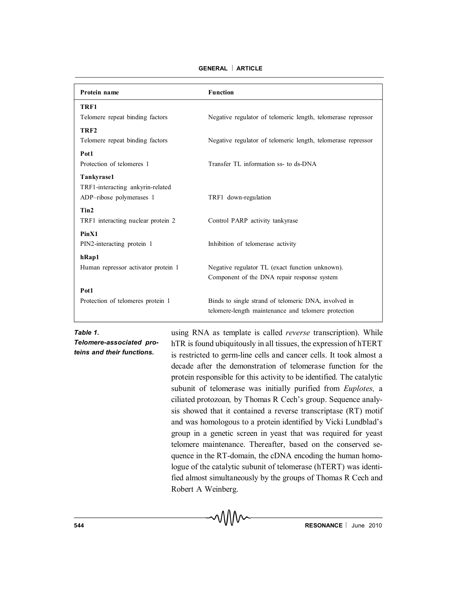| Protein name                        | <b>Function</b>                                              |
|-------------------------------------|--------------------------------------------------------------|
| TRF1                                |                                                              |
| Telomere repeat binding factors     | Negative regulator of telomeric length, telomerase repressor |
| TRF <sub>2</sub>                    |                                                              |
| Telomere repeat binding factors     | Negative regulator of telomeric length, telomerase repressor |
| Pot1                                |                                                              |
| Protection of telomeres 1           | Transfer TL information ss- to ds-DNA                        |
| Tankyrase1                          |                                                              |
| TRF1-interacting ankyrin-related    |                                                              |
| ADP-ribose polymerases 1            | TRF1 down-regulation                                         |
| Tin2                                |                                                              |
| TRF1 interacting nuclear protein 2  | Control PARP activity tankyrase                              |
| PinX1                               |                                                              |
| PIN2-interacting protein 1          | Inhibition of telomerase activity                            |
| hRap1                               |                                                              |
| Human repressor activator protein 1 | Negative regulator TL (exact function unknown).              |
|                                     | Component of the DNA repair response system                  |
| Pot1                                |                                                              |
| Protection of telomeres protein 1   | Binds to single strand of telomeric DNA, involved in         |
|                                     | telomere-length maintenance and telomere protection          |

MM

**GENERAL ARTICLE**

*Table 1.*

*Telomere-associated proteins and their functions.*

using RNA as template is called *reverse* transcription). While hTR is found ubiquitously in all tissues, the expression of hTERT is restricted to germ-line cells and cancer cells. It took almost a decade after the demonstration of telomerase function for the protein responsible for this activity to be identified. The catalytic subunit of telomerase was initially purified from *Euplotes,* a ciliated protozoan*,* by Thomas R Cech's group. Sequence analysis showed that it contained a reverse transcriptase (RT) motif and was homologous to a protein identified by Vicki Lundblad's group in a genetic screen in yeast that was required for yeast telomere maintenance. Thereafter, based on the conserved sequence in the RT-domain, the cDNA encoding the human homologue of the catalytic subunit of telomerase (hTERT) was identified almost simultaneously by the groups of Thomas R Cech and Robert A Weinberg.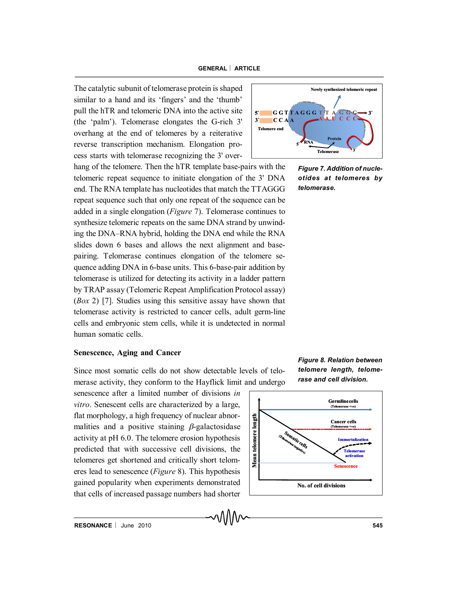The catalytic subunit of telomerase protein is shaped similar to a hand and its 'fingers' and the 'thumb' pull the hTR and telomeric DNA into the active site (the 'palm'). Telomerase elongates the G-rich 3' overhang at the end of telomeres by a reiterative reverse transcription mechanism. Elongation process starts with telomerase recognizing the 3' over-

hang of the telomere. Then the hTR template base-pairs with the telomeric repeat sequence to initiate elongation of the 3' DNA end. The RNA template has nucleotides that match the TTAGGG repeat sequence such that only one repeat of the sequence can be added in a single elongation (*Figure* 7). Telomerase continues to synthesize telomeric repeats on the same DNA strand by unwinding the DNA–RNA hybrid, holding the DNA end while the RNA slides down 6 bases and allows the next alignment and basepairing. Telomerase continues elongation of the telomere sequence adding DNA in 6-base units. This 6-base-pair addition by telomerase is utilized for detecting its activity in a ladder pattern by TRAP assay (Telomeric Repeat Amplification Protocol assay) (*Box* 2) [7]. Studies using this sensitive assay have shown that telomerase activity is restricted to cancer cells, adult germ-line cells and embryonic stem cells, while it is undetected in normal human somatic cells.

## **Senescence, Aging and Cancer**

Since most somatic cells do not show detectable levels of telomerase activity, they conform to the Hayflick limit and undergo

senescence after a limited number of divisions *in vitro*. Senescent cells are characterized by a large, flat morphology, a high frequency of nuclear abnormalities and a positive staining  $\beta$ -galactosidase activity at pH 6.0. The telomere erosion hypothesis flat morphology, a high frequency of nuclear abnormalities and a positive staining  $\beta$ -galactosidase activity at pH 6.0. The telomere erosion hypothesis predicted that with successive cell divisions, the telomeres get sh telomeres get shortened and critically short telomeres lead to senescence (*Figure* 8). This hypothesis gained popularity when experiments demonstrated that cells of increased passage numbers had shorter



*Figure 7. Addition of nucleotides at telomeres by telomerase.*



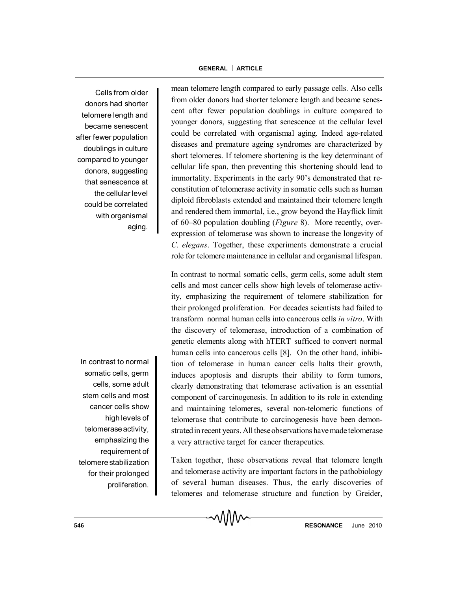Cells from older donors had shorter telomere length and became senescent after fewer population doublings in culture compared to younger donors, suggesting that senescence at the cellular level could be correlated with organismal aging.

In contrast to normal somatic cells, germ cells, some adult stem cells and most cancer cells show high levels of telomeraseactivity, emphasizing the requirement of telomerestabilization for their prolonged proliferation. mean telomere length compared to early passage cells. Also cells from older donors had shorter telomere length and became senescent after fewer population doublings in culture compared to younger donors, suggesting that senescence at the cellular level could be correlated with organismal aging. Indeed age-related diseases and premature ageing syndromes are characterized by short telomeres. If telomere shortening is the key determinant of cellular life span, then preventing this shortening should lead to immortality. Experiments in the early 90's demonstrated that reconstitution of telomerase activity in somatic cells such as human diploid fibroblasts extended and maintained their telomere length and rendered them immortal, i.e., grow beyond the Hayflick limit of 60–80 population doubling (*Figure* 8). More recently, overexpression of telomerase was shown to increase the longevity of *C. elegans*. Together, these experiments demonstrate a crucial role for telomere maintenance in cellular and organismal lifespan.

In contrast to normal somatic cells, germ cells, some adult stem cells and most cancer cells show high levels of telomerase activity, emphasizing the requirement of telomere stabilization for their prolonged proliferation. For decades scientists had failed to transform normal human cells into cancerous cells *in vitro*. With the discovery of telomerase, introduction of a combination of genetic elements along with hTERT sufficed to convert normal human cells into cancerous cells [8]. On the other hand, inhibition of telomerase in human cancer cells halts their growth, induces apoptosis and disrupts their ability to form tumors, clearly demonstrating that telomerase activation is an essential component of carcinogenesis. In addition to its role in extending and maintaining telomeres, several non-telomeric functions of telomerase that contribute to carcinogenesis have been demonstrated in recent years. All these observations have made telomerase a very attractive target for cancer therapeutics.

Taken together, these observations reveal that telomere length and telomerase activity are important factors in the pathobiology of several human diseases. Thus, the early discoveries of telomeres and telomerase structure and function by Greider,